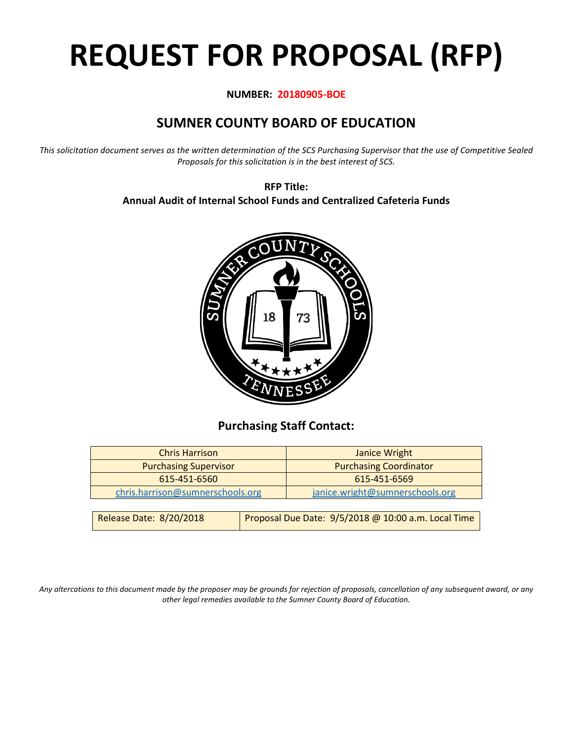# **REQUEST FOR PROPOSAL (RFP)**

#### **NUMBER: 20180905-BOE**

# **SUMNER COUNTY BOARD OF EDUCATION**

*This solicitation document serves as the written determination of the SCS Purchasing Supervisor that the use of Competitive Sealed Proposals for this solicitation is in the best interest of SCS.*

> **RFP Title: Annual Audit of Internal School Funds and Centralized Cafeteria Funds**



## **Purchasing Staff Contact:**

| <b>Chris Harrison</b>            |                                                     | Janice Wright                   |  |
|----------------------------------|-----------------------------------------------------|---------------------------------|--|
| <b>Purchasing Supervisor</b>     |                                                     | <b>Purchasing Coordinator</b>   |  |
| 615-451-6560                     |                                                     | 615-451-6569                    |  |
| chris.harrison@sumnerschools.org |                                                     | janice.wright@sumnerschools.org |  |
|                                  |                                                     |                                 |  |
| Release Date: 8/20/2018          | Proposal Due Date: 9/5/2018 @ 10:00 a.m. Local Time |                                 |  |

*Any altercations to this document made by the proposer may be grounds for rejection of proposals, cancellation of any subsequent award, or any other legal remedies available to the Sumner County Board of Education.*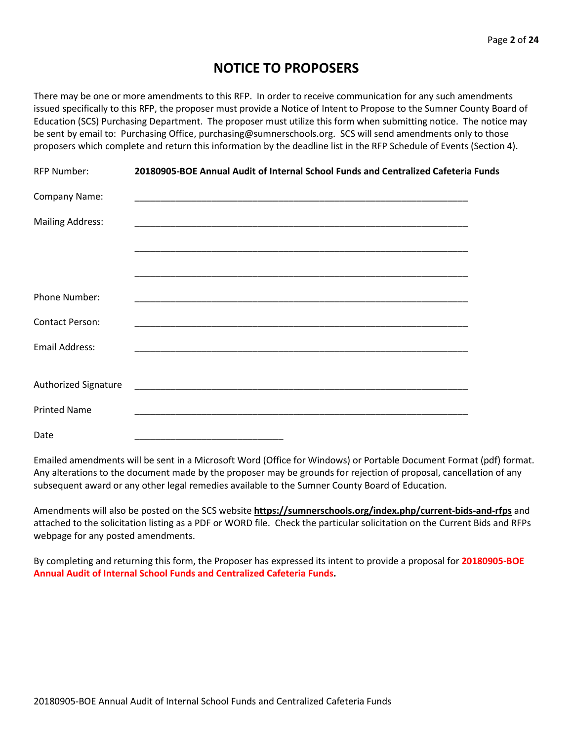## **NOTICE TO PROPOSERS**

There may be one or more amendments to this RFP. In order to receive communication for any such amendments issued specifically to this RFP, the proposer must provide a Notice of Intent to Propose to the Sumner County Board of Education (SCS) Purchasing Department. The proposer must utilize this form when submitting notice. The notice may be sent by email to: Purchasing Office, purchasing@sumnerschools.org. SCS will send amendments only to those proposers which complete and return this information by the deadline list in the RFP Schedule of Events (Section 4).

| <b>RFP Number:</b>      | 20180905-BOE Annual Audit of Internal School Funds and Centralized Cafeteria Funds                                    |  |
|-------------------------|-----------------------------------------------------------------------------------------------------------------------|--|
| Company Name:           |                                                                                                                       |  |
| <b>Mailing Address:</b> |                                                                                                                       |  |
|                         |                                                                                                                       |  |
|                         |                                                                                                                       |  |
| <b>Phone Number:</b>    |                                                                                                                       |  |
| <b>Contact Person:</b>  |                                                                                                                       |  |
| Email Address:          |                                                                                                                       |  |
|                         |                                                                                                                       |  |
| Authorized Signature    | <u> 1989 - Jan Jan James, margaret amerikan basar dan berasal dari dalam basar dalam basar dalam basar dalam basa</u> |  |
| <b>Printed Name</b>     |                                                                                                                       |  |
| Date                    |                                                                                                                       |  |

Emailed amendments will be sent in a Microsoft Word (Office for Windows) or Portable Document Format (pdf) format. Any alterations to the document made by the proposer may be grounds for rejection of proposal, cancellation of any subsequent award or any other legal remedies available to the Sumner County Board of Education.

Amendments will also be posted on the SCS website **https://sumnerschools.org/index.php/current-bids-and-rfps** and attached to the solicitation listing as a PDF or WORD file. Check the particular solicitation on the Current Bids and RFPs webpage for any posted amendments.

By completing and returning this form, the Proposer has expressed its intent to provide a proposal for **20180905-BOE Annual Audit of Internal School Funds and Centralized Cafeteria Funds.**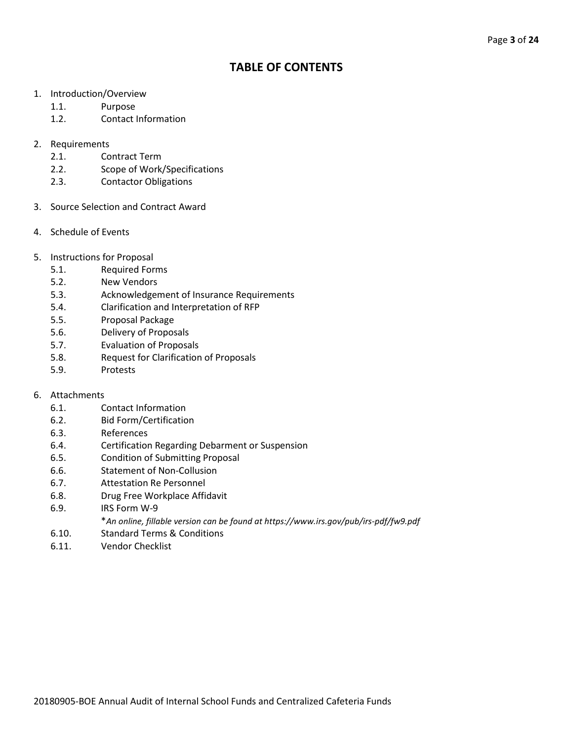## **TABLE OF CONTENTS**

- 1. Introduction/Overview
	- 1.1. Purpose
	- 1.2. Contact Information
- 2. Requirements
	- 2.1. Contract Term
	- 2.2. Scope of Work/Specifications
	- 2.3. Contactor Obligations
- 3. Source Selection and Contract Award
- 4. Schedule of Events
- 5. Instructions for Proposal
	- 5.1. Required Forms
	- 5.2. New Vendors
	- 5.3. Acknowledgement of Insurance Requirements
	- 5.4. Clarification and Interpretation of RFP
	- 5.5. Proposal Package
	- 5.6. Delivery of Proposals
	- 5.7. Evaluation of Proposals
	- 5.8. Request for Clarification of Proposals
	- 5.9. Protests

#### 6. Attachments

- 6.1. Contact Information
- 6.2. Bid Form/Certification
- 6.3. References
- 6.4. Certification Regarding Debarment or Suspension
- 6.5. Condition of Submitting Proposal
- 6.6. Statement of Non-Collusion
- 6.7. Attestation Re Personnel
- 6.8. Drug Free Workplace Affidavit
- 6.9. IRS Form W-9
	- \**An online, fillable version can be found at https://www.irs.gov/pub/irs-pdf/fw9.pdf*
- 6.10. Standard Terms & Conditions
- 6.11. Vendor Checklist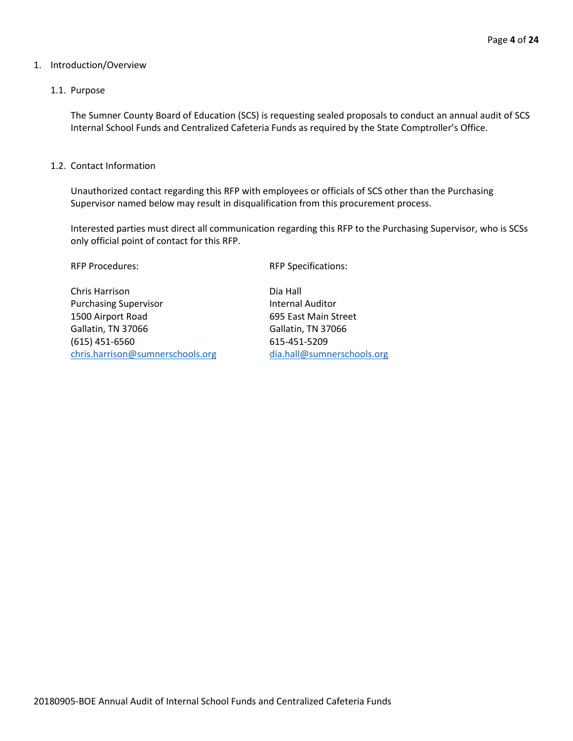#### 1. Introduction/Overview

#### 1.1. Purpose

The Sumner County Board of Education (SCS) is requesting sealed proposals to conduct an annual audit of SCS Internal School Funds and Centralized Cafeteria Funds as required by the State Comptroller's Office.

#### 1.2. Contact Information

Unauthorized contact regarding this RFP with employees or officials of SCS other than the Purchasing Supervisor named below may result in disqualification from this procurement process.

Interested parties must direct all communication regarding this RFP to the Purchasing Supervisor, who is SCSs only official point of contact for this RFP.

RFP Procedures:  $RFP$  Specifications:

Chris Harrison Dia Hall Purchasing Supervisor **Internal Auditor** Internal Auditor 1500 Airport Road 695 East Main Street Gallatin, TN 37066 Gallatin, TN 37066 (615) 451-6560 615-451-5209 [chris.harrison@sumnerschools.org](mailto:chris.harrison@sumnerschools.org) [dia.hall@sumnerschools.org](mailto:dia.hall@sumnerschools.org)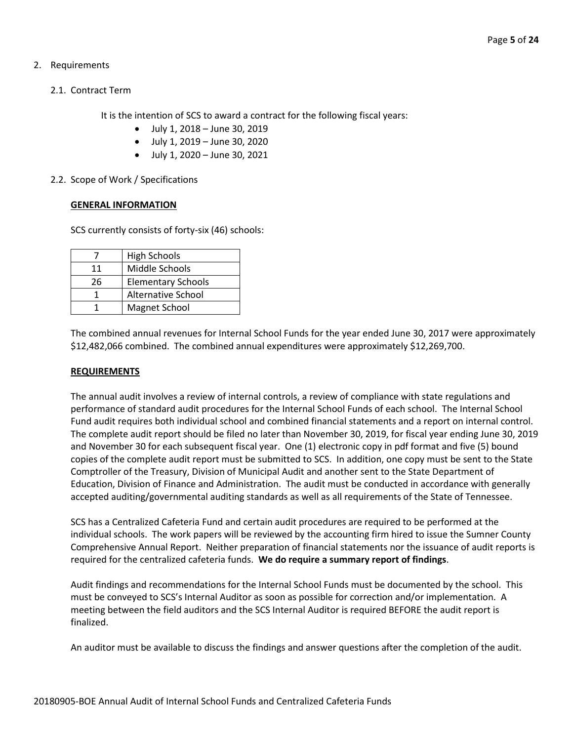- 2. Requirements
	- 2.1. Contract Term

It is the intention of SCS to award a contract for the following fiscal years:

- July 1, 2018 June 30, 2019
- July 1, 2019 June 30, 2020
- July 1, 2020 June 30, 2021
- 2.2. Scope of Work / Specifications

#### **GENERAL INFORMATION**

SCS currently consists of forty-six (46) schools:

|    | <b>High Schools</b>       |
|----|---------------------------|
| 11 | Middle Schools            |
| 26 | <b>Elementary Schools</b> |
|    | <b>Alternative School</b> |
|    | Magnet School             |

The combined annual revenues for Internal School Funds for the year ended June 30, 2017 were approximately \$12,482,066 combined. The combined annual expenditures were approximately \$12,269,700.

#### **REQUIREMENTS**

The annual audit involves a review of internal controls, a review of compliance with state regulations and performance of standard audit procedures for the Internal School Funds of each school. The Internal School Fund audit requires both individual school and combined financial statements and a report on internal control. The complete audit report should be filed no later than November 30, 2019, for fiscal year ending June 30, 2019 and November 30 for each subsequent fiscal year. One (1) electronic copy in pdf format and five (5) bound copies of the complete audit report must be submitted to SCS. In addition, one copy must be sent to the State Comptroller of the Treasury, Division of Municipal Audit and another sent to the State Department of Education, Division of Finance and Administration. The audit must be conducted in accordance with generally accepted auditing/governmental auditing standards as well as all requirements of the State of Tennessee.

SCS has a Centralized Cafeteria Fund and certain audit procedures are required to be performed at the individual schools. The work papers will be reviewed by the accounting firm hired to issue the Sumner County Comprehensive Annual Report. Neither preparation of financial statements nor the issuance of audit reports is required for the centralized cafeteria funds. **We do require a summary report of findings**.

Audit findings and recommendations for the Internal School Funds must be documented by the school. This must be conveyed to SCS's Internal Auditor as soon as possible for correction and/or implementation. A meeting between the field auditors and the SCS Internal Auditor is required BEFORE the audit report is finalized.

An auditor must be available to discuss the findings and answer questions after the completion of the audit.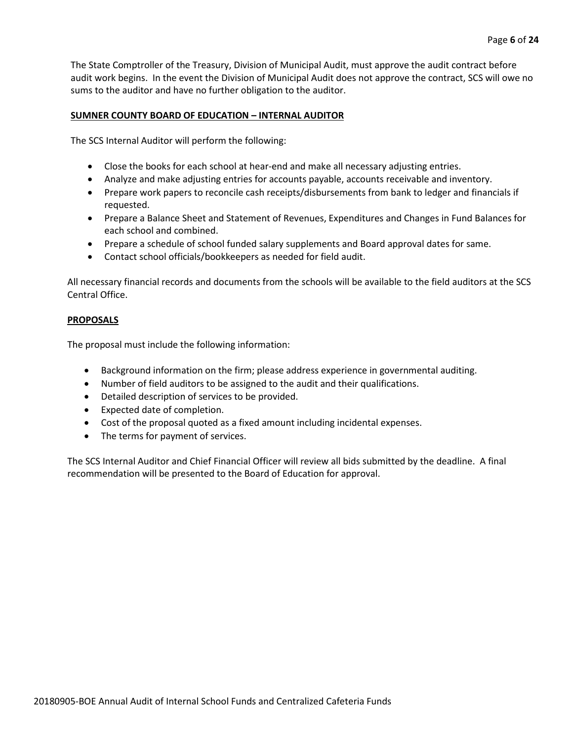The State Comptroller of the Treasury, Division of Municipal Audit, must approve the audit contract before audit work begins. In the event the Division of Municipal Audit does not approve the contract, SCS will owe no sums to the auditor and have no further obligation to the auditor.

#### **SUMNER COUNTY BOARD OF EDUCATION – INTERNAL AUDITOR**

The SCS Internal Auditor will perform the following:

- Close the books for each school at hear-end and make all necessary adjusting entries.
- Analyze and make adjusting entries for accounts payable, accounts receivable and inventory.
- Prepare work papers to reconcile cash receipts/disbursements from bank to ledger and financials if requested.
- Prepare a Balance Sheet and Statement of Revenues, Expenditures and Changes in Fund Balances for each school and combined.
- Prepare a schedule of school funded salary supplements and Board approval dates for same.
- Contact school officials/bookkeepers as needed for field audit.

All necessary financial records and documents from the schools will be available to the field auditors at the SCS Central Office.

#### **PROPOSALS**

The proposal must include the following information:

- Background information on the firm; please address experience in governmental auditing.
- Number of field auditors to be assigned to the audit and their qualifications.
- Detailed description of services to be provided.
- Expected date of completion.
- Cost of the proposal quoted as a fixed amount including incidental expenses.
- The terms for payment of services.

The SCS Internal Auditor and Chief Financial Officer will review all bids submitted by the deadline. A final recommendation will be presented to the Board of Education for approval.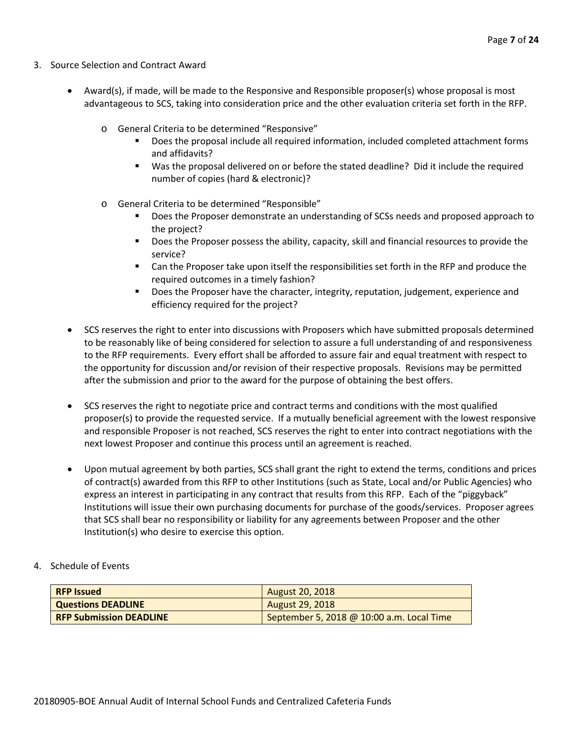- 3. Source Selection and Contract Award
	- Award(s), if made, will be made to the Responsive and Responsible proposer(s) whose proposal is most advantageous to SCS, taking into consideration price and the other evaluation criteria set forth in the RFP.
		- o General Criteria to be determined "Responsive"
			- Does the proposal include all required information, included completed attachment forms and affidavits?
			- Was the proposal delivered on or before the stated deadline? Did it include the required number of copies (hard & electronic)?
		- o General Criteria to be determined "Responsible"
			- Does the Proposer demonstrate an understanding of SCSs needs and proposed approach to the project?
			- **Does the Proposer possess the ability, capacity, skill and financial resources to provide the** service?
			- Can the Proposer take upon itself the responsibilities set forth in the RFP and produce the required outcomes in a timely fashion?
			- **Does the Proposer have the character, integrity, reputation, judgement, experience and** efficiency required for the project?
	- SCS reserves the right to enter into discussions with Proposers which have submitted proposals determined to be reasonably like of being considered for selection to assure a full understanding of and responsiveness to the RFP requirements. Every effort shall be afforded to assure fair and equal treatment with respect to the opportunity for discussion and/or revision of their respective proposals. Revisions may be permitted after the submission and prior to the award for the purpose of obtaining the best offers.
	- SCS reserves the right to negotiate price and contract terms and conditions with the most qualified proposer(s) to provide the requested service. If a mutually beneficial agreement with the lowest responsive and responsible Proposer is not reached, SCS reserves the right to enter into contract negotiations with the next lowest Proposer and continue this process until an agreement is reached.
	- Upon mutual agreement by both parties, SCS shall grant the right to extend the terms, conditions and prices of contract(s) awarded from this RFP to other Institutions (such as State, Local and/or Public Agencies) who express an interest in participating in any contract that results from this RFP. Each of the "piggyback" Institutions will issue their own purchasing documents for purchase of the goods/services. Proposer agrees that SCS shall bear no responsibility or liability for any agreements between Proposer and the other Institution(s) who desire to exercise this option.
- 4. Schedule of Events

| <b>RFP Issued</b>              | <b>August 20, 2018</b>                    |
|--------------------------------|-------------------------------------------|
| <b>Questions DEADLINE</b>      | <b>August 29, 2018</b>                    |
| <b>RFP Submission DEADLINE</b> | September 5, 2018 @ 10:00 a.m. Local Time |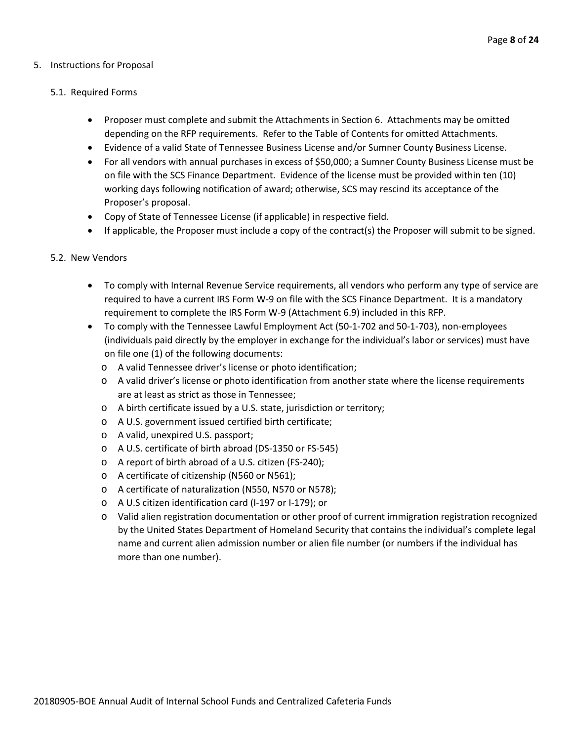#### 5. Instructions for Proposal

#### 5.1. Required Forms

- Proposer must complete and submit the Attachments in Section 6. Attachments may be omitted depending on the RFP requirements. Refer to the Table of Contents for omitted Attachments.
- Evidence of a valid State of Tennessee Business License and/or Sumner County Business License.
- For all vendors with annual purchases in excess of \$50,000; a Sumner County Business License must be on file with the SCS Finance Department. Evidence of the license must be provided within ten (10) working days following notification of award; otherwise, SCS may rescind its acceptance of the Proposer's proposal.
- Copy of State of Tennessee License (if applicable) in respective field.
- If applicable, the Proposer must include a copy of the contract(s) the Proposer will submit to be signed.

#### 5.2. New Vendors

- To comply with Internal Revenue Service requirements, all vendors who perform any type of service are required to have a current IRS Form W-9 on file with the SCS Finance Department. It is a mandatory requirement to complete the IRS Form W-9 (Attachment 6.9) included in this RFP.
- To comply with the Tennessee Lawful Employment Act (50-1-702 and 50-1-703), non-employees (individuals paid directly by the employer in exchange for the individual's labor or services) must have on file one (1) of the following documents:
	- o A valid Tennessee driver's license or photo identification;
	- o A valid driver's license or photo identification from another state where the license requirements are at least as strict as those in Tennessee;
	- o A birth certificate issued by a U.S. state, jurisdiction or territory;
	- o A U.S. government issued certified birth certificate;
	- o A valid, unexpired U.S. passport;
	- o A U.S. certificate of birth abroad (DS-1350 or FS-545)
	- o A report of birth abroad of a U.S. citizen (FS-240);
	- o A certificate of citizenship (N560 or N561);
	- o A certificate of naturalization (N550, N570 or N578);
	- o A U.S citizen identification card (I-197 or I-179); or
	- o Valid alien registration documentation or other proof of current immigration registration recognized by the United States Department of Homeland Security that contains the individual's complete legal name and current alien admission number or alien file number (or numbers if the individual has more than one number).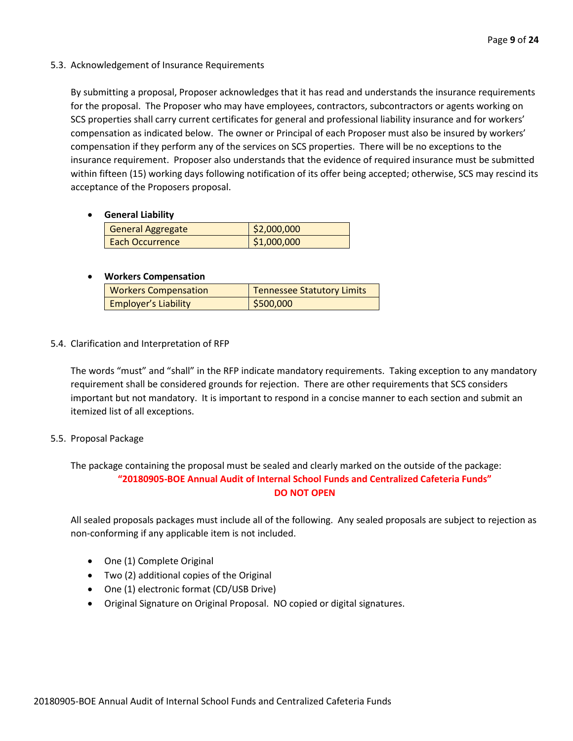#### 5.3. Acknowledgement of Insurance Requirements

By submitting a proposal, Proposer acknowledges that it has read and understands the insurance requirements for the proposal. The Proposer who may have employees, contractors, subcontractors or agents working on SCS properties shall carry current certificates for general and professional liability insurance and for workers' compensation as indicated below. The owner or Principal of each Proposer must also be insured by workers' compensation if they perform any of the services on SCS properties. There will be no exceptions to the insurance requirement. Proposer also understands that the evidence of required insurance must be submitted within fifteen (15) working days following notification of its offer being accepted; otherwise, SCS may rescind its acceptance of the Proposers proposal.

#### • **General Liability**

| <b>General Aggregate</b> | \$2,000,000 |
|--------------------------|-------------|
| Each Occurrence          | \$1,000,000 |

#### • **Workers Compensation**

| <b>Workers Compensation</b> | Tennessee Statutory Limits |
|-----------------------------|----------------------------|
| <b>Employer's Liability</b> | \$500,000                  |

#### 5.4. Clarification and Interpretation of RFP

The words "must" and "shall" in the RFP indicate mandatory requirements. Taking exception to any mandatory requirement shall be considered grounds for rejection. There are other requirements that SCS considers important but not mandatory. It is important to respond in a concise manner to each section and submit an itemized list of all exceptions.

#### 5.5. Proposal Package

The package containing the proposal must be sealed and clearly marked on the outside of the package: **"20180905-BOE Annual Audit of Internal School Funds and Centralized Cafeteria Funds" DO NOT OPEN**

All sealed proposals packages must include all of the following. Any sealed proposals are subject to rejection as non-conforming if any applicable item is not included.

- One (1) Complete Original
- Two (2) additional copies of the Original
- One (1) electronic format (CD/USB Drive)
- Original Signature on Original Proposal. NO copied or digital signatures.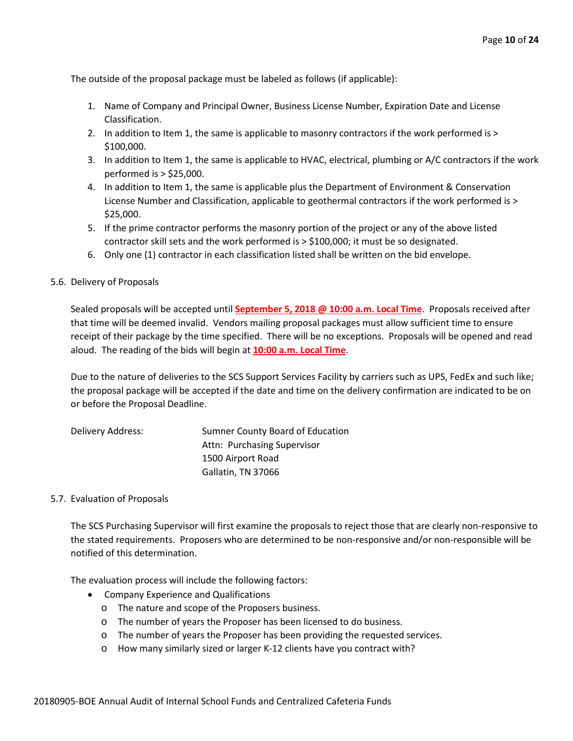The outside of the proposal package must be labeled as follows (if applicable):

- 1. Name of Company and Principal Owner, Business License Number, Expiration Date and License Classification.
- 2. In addition to Item 1, the same is applicable to masonry contractors if the work performed is > \$100,000.
- 3. In addition to Item 1, the same is applicable to HVAC, electrical, plumbing or A/C contractors if the work performed is > \$25,000.
- 4. In addition to Item 1, the same is applicable plus the Department of Environment & Conservation License Number and Classification, applicable to geothermal contractors if the work performed is > \$25,000.
- 5. If the prime contractor performs the masonry portion of the project or any of the above listed contractor skill sets and the work performed is > \$100,000; it must be so designated.
- 6. Only one (1) contractor in each classification listed shall be written on the bid envelope.

#### 5.6. Delivery of Proposals

Sealed proposals will be accepted until **September 5, 2018 @ 10:00 a.m. Local Time**. Proposals received after that time will be deemed invalid. Vendors mailing proposal packages must allow sufficient time to ensure receipt of their package by the time specified. There will be no exceptions. Proposals will be opened and read aloud. The reading of the bids will begin at **10:00 a.m. Local Time**.

Due to the nature of deliveries to the SCS Support Services Facility by carriers such as UPS, FedEx and such like; the proposal package will be accepted if the date and time on the delivery confirmation are indicated to be on or before the Proposal Deadline.

| Delivery Address: | Sumner County Board of Education |
|-------------------|----------------------------------|
|                   | Attn: Purchasing Supervisor      |
|                   | 1500 Airport Road                |
|                   | Gallatin, TN 37066               |

#### 5.7. Evaluation of Proposals

The SCS Purchasing Supervisor will first examine the proposals to reject those that are clearly non-responsive to the stated requirements. Proposers who are determined to be non-responsive and/or non-responsible will be notified of this determination.

The evaluation process will include the following factors:

- Company Experience and Qualifications
	- o The nature and scope of the Proposers business.
	- o The number of years the Proposer has been licensed to do business.
	- o The number of years the Proposer has been providing the requested services.
	- o How many similarly sized or larger K-12 clients have you contract with?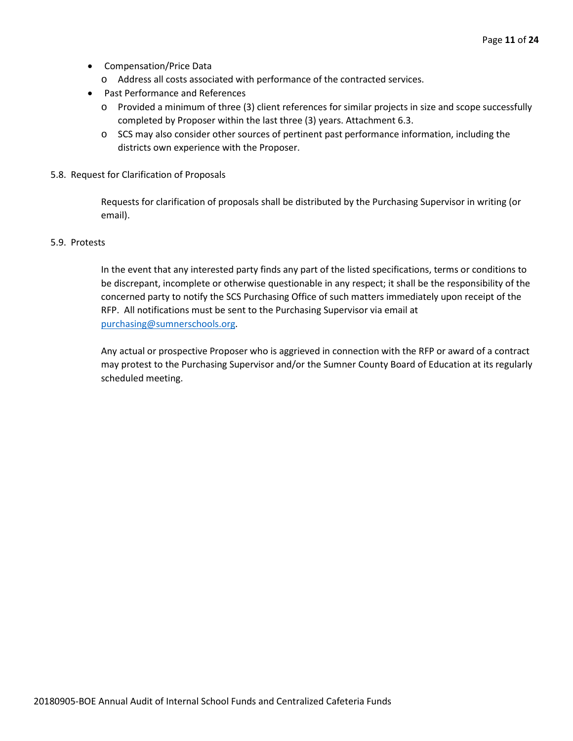- Compensation/Price Data
	- o Address all costs associated with performance of the contracted services.
- Past Performance and References
	- o Provided a minimum of three (3) client references for similar projects in size and scope successfully completed by Proposer within the last three (3) years. Attachment 6.3.
	- o SCS may also consider other sources of pertinent past performance information, including the districts own experience with the Proposer.
- 5.8. Request for Clarification of Proposals

Requests for clarification of proposals shall be distributed by the Purchasing Supervisor in writing (or email).

#### 5.9. Protests

In the event that any interested party finds any part of the listed specifications, terms or conditions to be discrepant, incomplete or otherwise questionable in any respect; it shall be the responsibility of the concerned party to notify the SCS Purchasing Office of such matters immediately upon receipt of the RFP. All notifications must be sent to the Purchasing Supervisor via email at [purchasing@sumnerschools.org.](mailto:purchasing@sumnerschools.org)

Any actual or prospective Proposer who is aggrieved in connection with the RFP or award of a contract may protest to the Purchasing Supervisor and/or the Sumner County Board of Education at its regularly scheduled meeting.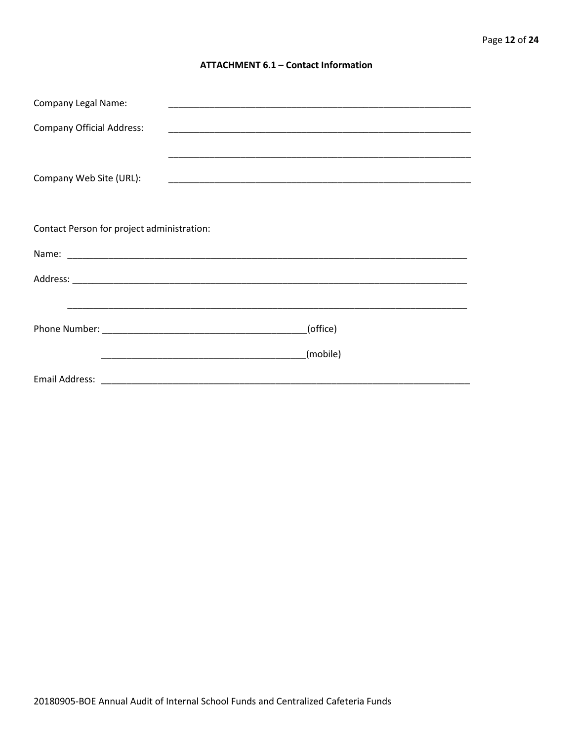#### **ATTACHMENT 6.1 - Contact Information**

| <b>Company Legal Name:</b>                 |                                                                                                                                  |  |  |
|--------------------------------------------|----------------------------------------------------------------------------------------------------------------------------------|--|--|
| <b>Company Official Address:</b>           |                                                                                                                                  |  |  |
|                                            |                                                                                                                                  |  |  |
| Company Web Site (URL):                    |                                                                                                                                  |  |  |
|                                            |                                                                                                                                  |  |  |
| Contact Person for project administration: |                                                                                                                                  |  |  |
|                                            |                                                                                                                                  |  |  |
|                                            |                                                                                                                                  |  |  |
|                                            |                                                                                                                                  |  |  |
|                                            | (office)                                                                                                                         |  |  |
|                                            | (mobile)<br><u> 1990 - Jan James James James James James James James James James James James James James James James James J</u> |  |  |
|                                            |                                                                                                                                  |  |  |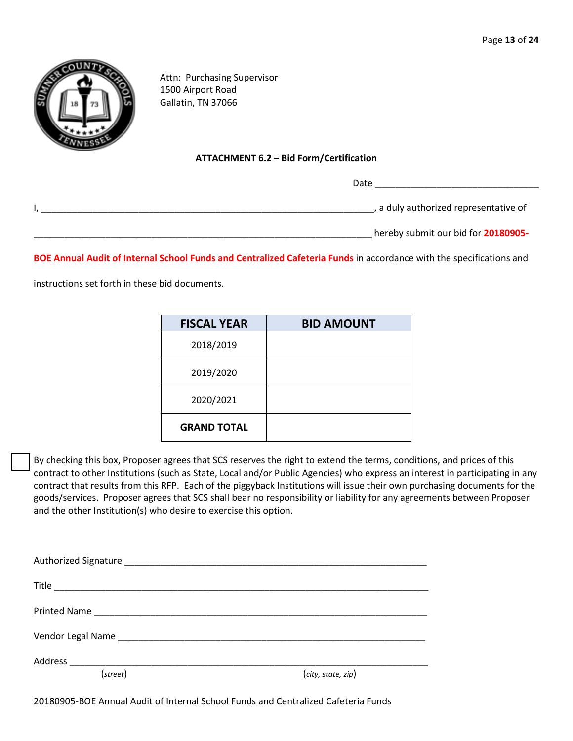

Attn: Purchasing Supervisor 1500 Airport Road Gallatin, TN 37066

#### **ATTACHMENT 6.2 – Bid Form/Certification**

Date \_\_\_\_\_\_\_\_\_\_\_\_\_\_\_\_\_\_\_\_\_\_\_\_\_\_\_\_\_\_\_\_

| , a duly authorized representative of |
|---------------------------------------|
| hereby submit our bid for 20180905-   |

**BOE Annual Audit of Internal School Funds and Centralized Cafeteria Funds** in accordance with the specifications and

instructions set forth in these bid documents.

| <b>FISCAL YEAR</b> | <b>BID AMOUNT</b> |
|--------------------|-------------------|
| 2018/2019          |                   |
| 2019/2020          |                   |
| 2020/2021          |                   |
| <b>GRAND TOTAL</b> |                   |

By checking this box, Proposer agrees that SCS reserves the right to extend the terms, conditions, and prices of this contract to other Institutions (such as State, Local and/or Public Agencies) who express an interest in participating in any contract that results from this RFP. Each of the piggyback Institutions will issue their own purchasing documents for the goods/services. Proposer agrees that SCS shall bear no responsibility or liability for any agreements between Proposer and the other Institution(s) who desire to exercise this option.

| Vendor Legal Name Manuel Allen and Allen and Allen and Allen and Allen and Allen |                    |
|----------------------------------------------------------------------------------|--------------------|
|                                                                                  |                    |
| (street)                                                                         | (city, state, zip) |

20180905-BOE Annual Audit of Internal School Funds and Centralized Cafeteria Funds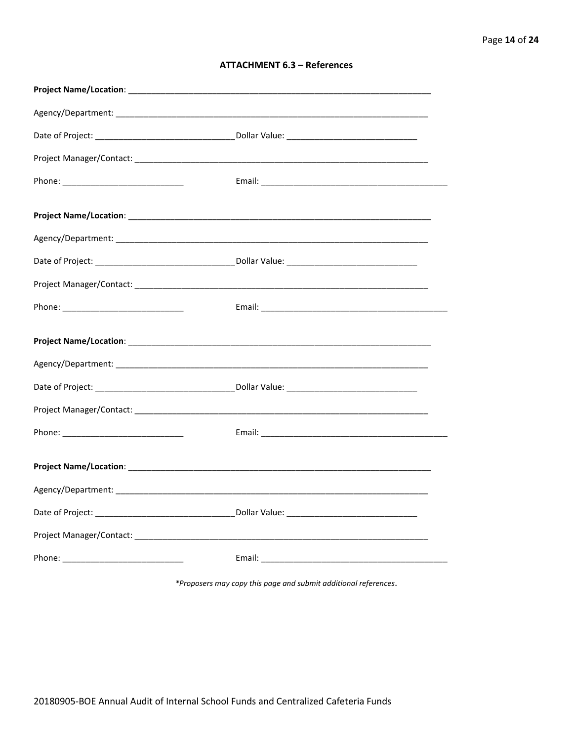| <b>ATTACHMENT 6.3 - References</b> |  |  |
|------------------------------------|--|--|
|------------------------------------|--|--|

\*Proposers may copy this page and submit additional references.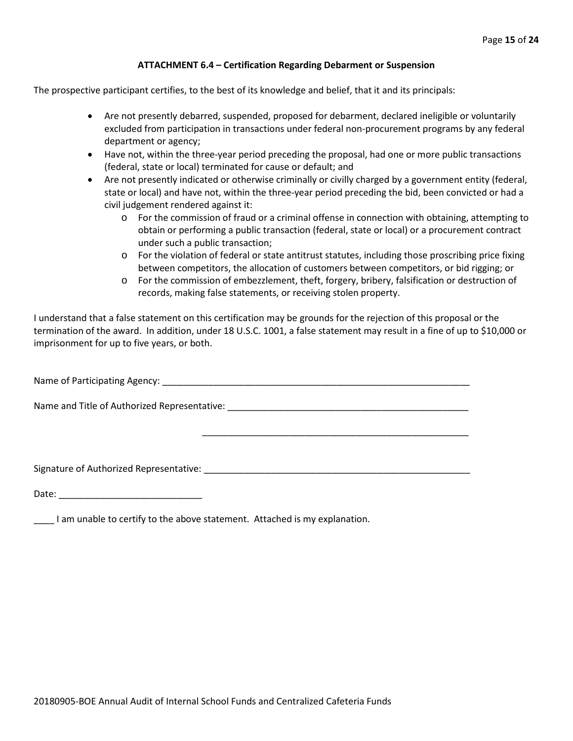#### **ATTACHMENT 6.4 – Certification Regarding Debarment or Suspension**

The prospective participant certifies, to the best of its knowledge and belief, that it and its principals:

- Are not presently debarred, suspended, proposed for debarment, declared ineligible or voluntarily excluded from participation in transactions under federal non-procurement programs by any federal department or agency;
- Have not, within the three-year period preceding the proposal, had one or more public transactions (federal, state or local) terminated for cause or default; and
- Are not presently indicated or otherwise criminally or civilly charged by a government entity (federal, state or local) and have not, within the three-year period preceding the bid, been convicted or had a civil judgement rendered against it:
	- o For the commission of fraud or a criminal offense in connection with obtaining, attempting to obtain or performing a public transaction (federal, state or local) or a procurement contract under such a public transaction;
	- o For the violation of federal or state antitrust statutes, including those proscribing price fixing between competitors, the allocation of customers between competitors, or bid rigging; or
	- o For the commission of embezzlement, theft, forgery, bribery, falsification or destruction of records, making false statements, or receiving stolen property.

\_\_\_\_\_\_\_\_\_\_\_\_\_\_\_\_\_\_\_\_\_\_\_\_\_\_\_\_\_\_\_\_\_\_\_\_\_\_\_\_\_\_\_\_\_\_\_\_\_\_\_\_

I understand that a false statement on this certification may be grounds for the rejection of this proposal or the termination of the award. In addition, under 18 U.S.C. 1001, a false statement may result in a fine of up to \$10,000 or imprisonment for up to five years, or both.

Name of Participating Agency: \_\_\_\_\_\_\_\_\_\_\_\_\_\_\_\_\_\_\_\_\_\_\_\_\_\_\_\_\_\_\_\_\_\_\_\_\_\_\_\_\_\_\_\_\_\_\_\_\_\_\_\_\_\_\_\_\_\_\_\_

Name and Title of Authorized Representative: \_\_\_\_\_\_\_\_\_\_\_\_\_\_\_\_\_\_\_\_\_\_\_\_\_\_\_\_\_\_\_\_\_\_\_\_\_\_\_\_\_\_\_\_\_\_\_

Signature of Authorized Representative: \_\_\_\_\_\_\_\_\_\_\_\_\_\_\_\_\_\_\_\_\_\_\_\_\_\_\_\_\_\_\_\_\_\_\_\_\_\_\_\_\_\_\_\_\_\_\_\_\_\_\_\_

Date: \_\_\_\_\_\_\_\_\_\_\_\_\_\_\_\_\_\_\_\_\_\_\_\_\_\_\_\_

\_\_\_\_ I am unable to certify to the above statement. Attached is my explanation.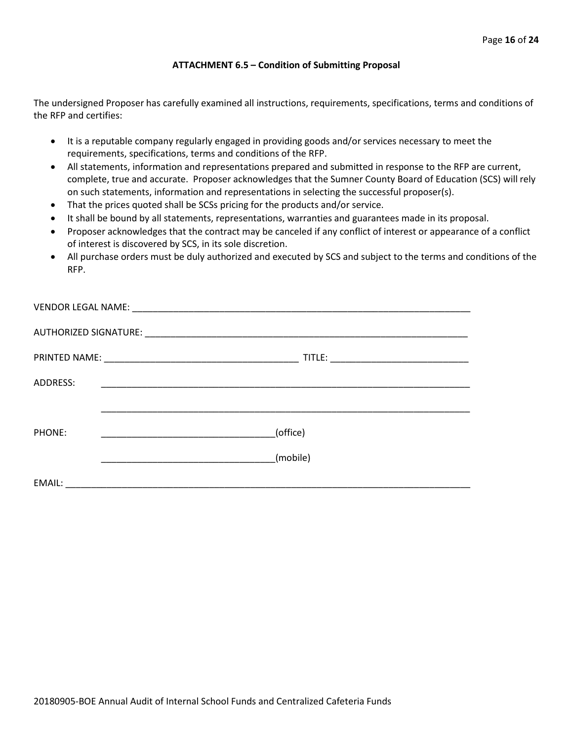#### **ATTACHMENT 6.5 – Condition of Submitting Proposal**

The undersigned Proposer has carefully examined all instructions, requirements, specifications, terms and conditions of the RFP and certifies:

- It is a reputable company regularly engaged in providing goods and/or services necessary to meet the requirements, specifications, terms and conditions of the RFP.
- All statements, information and representations prepared and submitted in response to the RFP are current, complete, true and accurate. Proposer acknowledges that the Sumner County Board of Education (SCS) will rely on such statements, information and representations in selecting the successful proposer(s).
- That the prices quoted shall be SCSs pricing for the products and/or service.
- It shall be bound by all statements, representations, warranties and guarantees made in its proposal.
- Proposer acknowledges that the contract may be canceled if any conflict of interest or appearance of a conflict of interest is discovered by SCS, in its sole discretion.
- All purchase orders must be duly authorized and executed by SCS and subject to the terms and conditions of the RFP.

| ADDRESS: | <u> 2000 - Jan James James James James James James James James James James James James James James James James J</u>              |
|----------|-----------------------------------------------------------------------------------------------------------------------------------|
|          |                                                                                                                                   |
| PHONE:   | (office)<br><u> 1989 - Johann Barbara, martin amerikan basal dan berasal dalam basal dalam basal dalam basal dalam basal dala</u> |
|          | (mobile)                                                                                                                          |
| EMAIL:   | <u> 1980 - Jan James John Stein, mars and de British and de British and de British and de British and de British</u>              |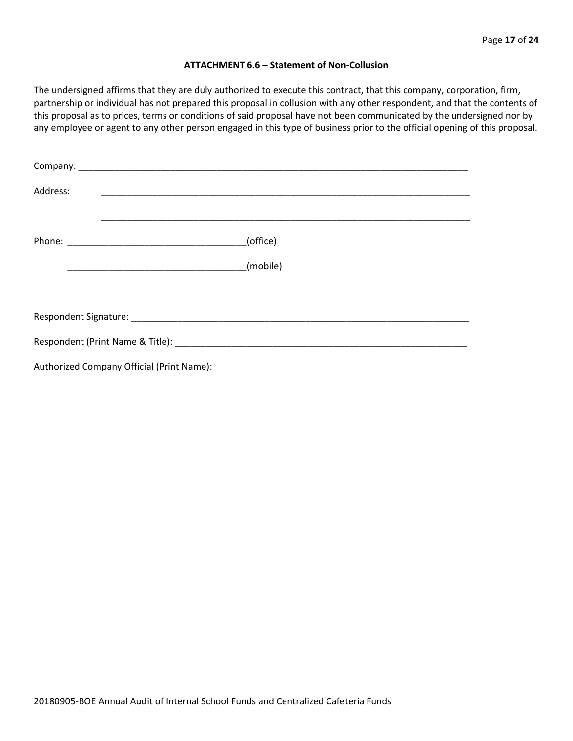#### **ATTACHMENT 6.6 – Statement of Non-Collusion**

The undersigned affirms that they are duly authorized to execute this contract, that this company, corporation, firm, partnership or individual has not prepared this proposal in collusion with any other respondent, and that the contents of this proposal as to prices, terms or conditions of said proposal have not been communicated by the undersigned nor by any employee or agent to any other person engaged in this type of business prior to the official opening of this proposal.

| Address: |          |  |  |  |  |
|----------|----------|--|--|--|--|
|          | (office) |  |  |  |  |
|          |          |  |  |  |  |
|          |          |  |  |  |  |
|          |          |  |  |  |  |
|          |          |  |  |  |  |
|          |          |  |  |  |  |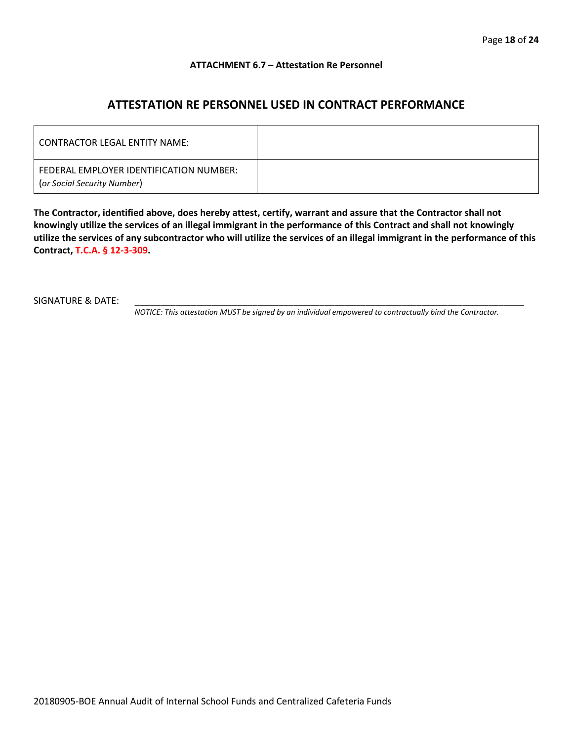#### **ATTACHMENT 6.7 – Attestation Re Personnel**

## **ATTESTATION RE PERSONNEL USED IN CONTRACT PERFORMANCE**

| CONTRACTOR LEGAL ENTITY NAME:                                          |  |
|------------------------------------------------------------------------|--|
| FEDERAL EMPLOYER IDENTIFICATION NUMBER:<br>(or Social Security Number) |  |

**The Contractor, identified above, does hereby attest, certify, warrant and assure that the Contractor shall not knowingly utilize the services of an illegal immigrant in the performance of this Contract and shall not knowingly utilize the services of any subcontractor who will utilize the services of an illegal immigrant in the performance of this Contract, T.C.A. § 12-3-309.**

SIGNATURE & DATE:

*NOTICE: This attestation MUST be signed by an individual empowered to contractually bind the Contractor.*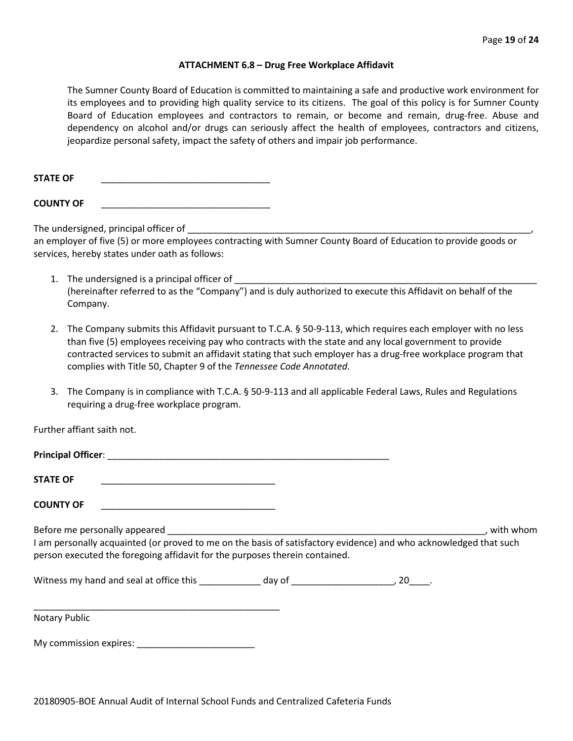#### **ATTACHMENT 6.8 – Drug Free Workplace Affidavit**

The Sumner County Board of Education is committed to maintaining a safe and productive work environment for its employees and to providing high quality service to its citizens. The goal of this policy is for Sumner County Board of Education employees and contractors to remain, or become and remain, drug-free. Abuse and dependency on alcohol and/or drugs can seriously affect the health of employees, contractors and citizens, jeopardize personal safety, impact the safety of others and impair job performance.

STATE OF

**COUNTY OF** \_\_\_\_\_\_\_\_\_\_\_\_\_\_\_\_\_\_\_\_\_\_\_\_\_\_\_\_\_\_\_\_\_

The undersigned, principal officer of

an employer of five (5) or more employees contracting with Sumner County Board of Education to provide goods or services, hereby states under oath as follows:

- 1. The undersigned is a principal officer of (hereinafter referred to as the "Company") and is duly authorized to execute this Affidavit on behalf of the Company.
- 2. The Company submits this Affidavit pursuant to T.C.A. § 50-9-113, which requires each employer with no less than five (5) employees receiving pay who contracts with the state and any local government to provide contracted services to submit an affidavit stating that such employer has a drug-free workplace program that complies with Title 50, Chapter 9 of the *Tennessee Code Annotated*.
- 3. The Company is in compliance with T.C.A. § 50-9-113 and all applicable Federal Laws, Rules and Regulations requiring a drug-free workplace program.

Further affiant saith not.

| <b>STATE OF</b>                                                                                                                                                                                  |  |             |
|--------------------------------------------------------------------------------------------------------------------------------------------------------------------------------------------------|--|-------------|
| <b>COUNTY OF</b>                                                                                                                                                                                 |  |             |
|                                                                                                                                                                                                  |  | . with whom |
| I am personally acquainted (or proved to me on the basis of satisfactory evidence) and who acknowledged that such<br>person executed the foregoing affidavit for the purposes therein contained. |  |             |
|                                                                                                                                                                                                  |  |             |
| Notary Public                                                                                                                                                                                    |  |             |
|                                                                                                                                                                                                  |  |             |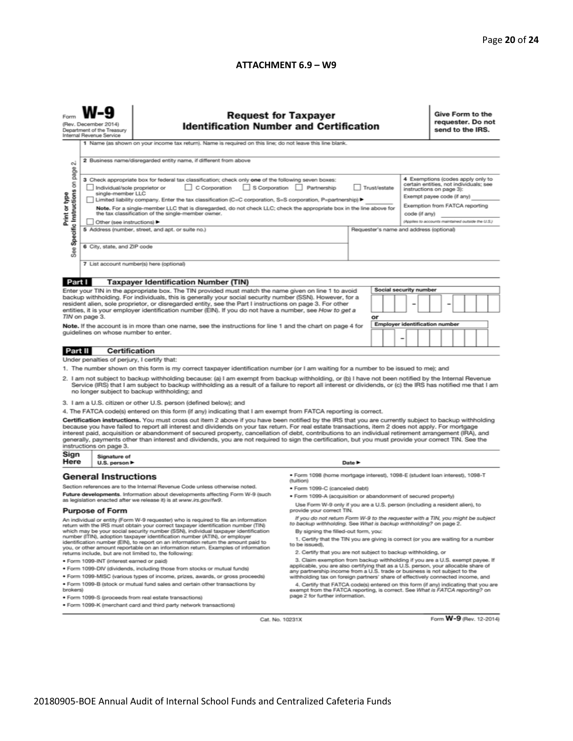#### **ATTACHMENT 6.9 – W9**

| <b>Request for Taxpayer</b><br>(Rev. December 2014)<br><b>Identification Number and Certification</b><br>Department of the Treasury<br>Internal Revenue Service<br>1 Name (as shown on your income tax return). Name is required on this line; do not leave this line blank.                                                                                                                                                                                                                                                                                                                                                                                                                                                                                                                                                                                                                                                                                                                                                                                                                                                         |                                                                                                      |                                                                                                                                                                                                                                                                                                                                                                                                                                                                                                                                                                                                                                                                                                                                                                                                                                                                                                                                                                                                                                                                                                                               |                                                                                                                                                                                                                                                                                                                                                                                                                                                                                                                                                                                                                                                                                                                                                                                                                                                                                                                                                                                                                                                                                                                                                                                                                                     |        |  | Give Form to the<br>requester. Do not<br>send to the IRS. |  |  |                         |
|--------------------------------------------------------------------------------------------------------------------------------------------------------------------------------------------------------------------------------------------------------------------------------------------------------------------------------------------------------------------------------------------------------------------------------------------------------------------------------------------------------------------------------------------------------------------------------------------------------------------------------------------------------------------------------------------------------------------------------------------------------------------------------------------------------------------------------------------------------------------------------------------------------------------------------------------------------------------------------------------------------------------------------------------------------------------------------------------------------------------------------------|------------------------------------------------------------------------------------------------------|-------------------------------------------------------------------------------------------------------------------------------------------------------------------------------------------------------------------------------------------------------------------------------------------------------------------------------------------------------------------------------------------------------------------------------------------------------------------------------------------------------------------------------------------------------------------------------------------------------------------------------------------------------------------------------------------------------------------------------------------------------------------------------------------------------------------------------------------------------------------------------------------------------------------------------------------------------------------------------------------------------------------------------------------------------------------------------------------------------------------------------|-------------------------------------------------------------------------------------------------------------------------------------------------------------------------------------------------------------------------------------------------------------------------------------------------------------------------------------------------------------------------------------------------------------------------------------------------------------------------------------------------------------------------------------------------------------------------------------------------------------------------------------------------------------------------------------------------------------------------------------------------------------------------------------------------------------------------------------------------------------------------------------------------------------------------------------------------------------------------------------------------------------------------------------------------------------------------------------------------------------------------------------------------------------------------------------------------------------------------------------|--------|--|-----------------------------------------------------------|--|--|-------------------------|
| 2 Business name/disregarded entity name, if different from above<br>οi<br>page<br>4 Exemptions (codes apply only to<br>3 Check appropriate box for federal tax classification; check only one of the following seven boxes:<br>Specific Instructions on<br>certain entities, not individuals; see<br>C Corporation S Corporation Partnership<br>Individual/sole proprietor or<br>Trust/estate<br>instructions on page 3):<br>Print or type<br>single-member LLC<br>Exempt payee code (if any)<br>Limited liability company. Enter the tax classification (C=C corporation, S=S corporation, P=partnership) $\blacktriangleright$<br>Exemption from FATCA reporting<br>Note. For a single-member LLC that is disregarded, do not check LLC; check the appropriate box in the line above for<br>the tax classification of the single-member owner.<br>code (if any)<br>(Applies to accounts maintained outside the U.S.)<br>Other (see instructions)<br>5 Address (number, street, and apt. or suite no.)<br>Requester's name and address (optional)<br>6 City, state, and ZIP code<br>See<br>7 List account number(s) here (optional) |                                                                                                      |                                                                                                                                                                                                                                                                                                                                                                                                                                                                                                                                                                                                                                                                                                                                                                                                                                                                                                                                                                                                                                                                                                                               |                                                                                                                                                                                                                                                                                                                                                                                                                                                                                                                                                                                                                                                                                                                                                                                                                                                                                                                                                                                                                                                                                                                                                                                                                                     |        |  |                                                           |  |  |                         |
| Part I<br><b>Taxpayer Identification Number (TIN)</b><br>Social security number<br>Enter your TIN in the appropriate box. The TIN provided must match the name given on line 1 to avoid<br>backup withholding. For individuals, this is generally your social security number (SSN). However, for a<br>resident alien, sole proprietor, or disregarded entity, see the Part I instructions on page 3. For other<br>entities, it is your employer identification number (EIN). If you do not have a number, see How to get a<br>TIN on page 3.<br>or<br><b>Employer identification number</b><br>Note. If the account is in more than one name, see the instructions for line 1 and the chart on page 4 for                                                                                                                                                                                                                                                                                                                                                                                                                           |                                                                                                      |                                                                                                                                                                                                                                                                                                                                                                                                                                                                                                                                                                                                                                                                                                                                                                                                                                                                                                                                                                                                                                                                                                                               |                                                                                                                                                                                                                                                                                                                                                                                                                                                                                                                                                                                                                                                                                                                                                                                                                                                                                                                                                                                                                                                                                                                                                                                                                                     |        |  |                                                           |  |  |                         |
| Part II                                                                                                                                                                                                                                                                                                                                                                                                                                                                                                                                                                                                                                                                                                                                                                                                                                                                                                                                                                                                                                                                                                                              | guidelines on whose number to enter.<br>Certification<br>Under penalties of perjury, I certify that: | 1. The number shown on this form is my correct taxpayer identification number (or I am waiting for a number to be issued to me); and<br>2. I am not subject to backup withholding because: (a) I am exempt from backup withholding, or (b) I have not been notified by the Internal Revenue<br>Service (IRS) that I am subject to backup withholding as a result of a failure to report all interest or dividends, or (c) the IRS has notified me that I am                                                                                                                                                                                                                                                                                                                                                                                                                                                                                                                                                                                                                                                                   |                                                                                                                                                                                                                                                                                                                                                                                                                                                                                                                                                                                                                                                                                                                                                                                                                                                                                                                                                                                                                                                                                                                                                                                                                                     |        |  |                                                           |  |  |                         |
| Sign<br>Here                                                                                                                                                                                                                                                                                                                                                                                                                                                                                                                                                                                                                                                                                                                                                                                                                                                                                                                                                                                                                                                                                                                         | instructions on page 3.<br>Signature of<br>U.S. person $\blacktriangleright$                         | no longer subject to backup withholding; and<br>3. I am a U.S. citizen or other U.S. person (defined below); and<br>4. The FATCA code(s) entered on this form (if any) indicating that I am exempt from FATCA reporting is correct.<br>Certification instructions. You must cross out item 2 above if you have been notified by the IRS that you are currently subject to backup withholding<br>because you have failed to report all interest and dividends on your tax return. For real estate transactions, item 2 does not apply. For mortgage<br>interest paid, acquisition or abandonment of secured property, cancellation of debt, contributions to an individual retirement arrangement (IRA), and<br>generally, payments other than interest and dividends, you are not required to sign the certification, but you must provide your correct TIN. See the                                                                                                                                                                                                                                                          |                                                                                                                                                                                                                                                                                                                                                                                                                                                                                                                                                                                                                                                                                                                                                                                                                                                                                                                                                                                                                                                                                                                                                                                                                                     | Date P |  |                                                           |  |  |                         |
| brokers)                                                                                                                                                                                                                                                                                                                                                                                                                                                                                                                                                                                                                                                                                                                                                                                                                                                                                                                                                                                                                                                                                                                             | <b>General Instructions</b><br><b>Purpose of Form</b><br>· Form 1099-INT (interest earned or paid)   | Section references are to the Internal Revenue Code unless otherwise noted.<br>Future developments. Information about developments affecting Form W-9 (such<br>as legislation enacted after we release it) is at www.irs.gov/fw9.<br>An individual or entity (Form W-9 requester) who is required to file an information<br>return with the IRS must obtain your correct taxpayer identification number (TIN)<br>which may be your social security number (SSN), individual taxpayer identification<br>number (ITIN), adoption taxpayer identification number (ATIN), or employer<br>identification number (EIN), to report on an information return the amount paid to<br>you, or other amount reportable on an information return. Examples of information<br>returns include, but are not limited to, the following:<br>. Form 1099-DIV (dividends, including those from stocks or mutual funds)<br>· Form 1099-MISC (various types of income, prizes, awards, or gross proceeds)<br>. Form 1099-B (stock or mutual fund sales and certain other transactions by<br>· Form 1099-S (proceeds from real estate transactions) | · Form 1098 (home mortgage interest), 1098-E (student loan interest), 1098-T<br>(tuition)<br>· Form 1099-C (canceled debt)<br>. Form 1099-A (acquisition or abandonment of secured property)<br>Use Form W-9 only if you are a U.S. person (including a resident alien), to<br>provide your correct TIN.<br>If you do not return Form W-9 to the requester with a TIN, you might be subject<br>to backup withholding. See What is backup withholding? on page 2.<br>By signing the filled-out form, you:<br>1. Certify that the TIN you are giving is correct (or you are waiting for a number<br>to be issued).<br>2. Certify that you are not subject to backup withholding, or<br>3. Claim exemption from backup withholding if you are a U.S. exempt payee. If<br>applicable, you are also certifying that as a U.S. person, your allocable share of<br>any partnership income from a U.S. trade or business is not subject to the<br>withholding tax on foreign partners' share of effectively connected income, and<br>4. Certify that FATCA code(s) entered on this form (if any) indicating that you are<br>exempt from the FATCA reporting, is correct. See What is FATCA reporting? on<br>page 2 for further information. |        |  |                                                           |  |  |                         |
|                                                                                                                                                                                                                                                                                                                                                                                                                                                                                                                                                                                                                                                                                                                                                                                                                                                                                                                                                                                                                                                                                                                                      |                                                                                                      | . Form 1099-K (merchant card and third party network transactions)<br>Cat. No. 10231X                                                                                                                                                                                                                                                                                                                                                                                                                                                                                                                                                                                                                                                                                                                                                                                                                                                                                                                                                                                                                                         |                                                                                                                                                                                                                                                                                                                                                                                                                                                                                                                                                                                                                                                                                                                                                                                                                                                                                                                                                                                                                                                                                                                                                                                                                                     |        |  |                                                           |  |  | Form W-9 (Rev. 12-2014) |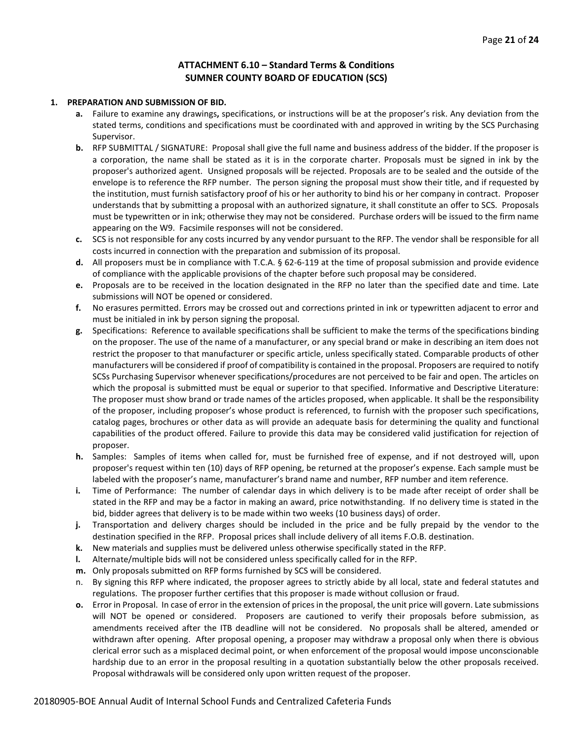#### **ATTACHMENT 6.10 – Standard Terms & Conditions SUMNER COUNTY BOARD OF EDUCATION (SCS)**

#### **1. PREPARATION AND SUBMISSION OF BID.**

- **a.** Failure to examine any drawings**,** specifications, or instructions will be at the proposer's risk. Any deviation from the stated terms, conditions and specifications must be coordinated with and approved in writing by the SCS Purchasing Supervisor.
- **b.** RFP SUBMITTAL / SIGNATURE: Proposal shall give the full name and business address of the bidder. If the proposer is a corporation, the name shall be stated as it is in the corporate charter. Proposals must be signed in ink by the proposer's authorized agent. Unsigned proposals will be rejected. Proposals are to be sealed and the outside of the envelope is to reference the RFP number. The person signing the proposal must show their title, and if requested by the institution, must furnish satisfactory proof of his or her authority to bind his or her company in contract. Proposer understands that by submitting a proposal with an authorized signature, it shall constitute an offer to SCS. Proposals must be typewritten or in ink; otherwise they may not be considered. Purchase orders will be issued to the firm name appearing on the W9. Facsimile responses will not be considered.
- **c.** SCS is not responsible for any costs incurred by any vendor pursuant to the RFP. The vendor shall be responsible for all costs incurred in connection with the preparation and submission of its proposal.
- **d.** All proposers must be in compliance with T.C.A. § 62-6-119 at the time of proposal submission and provide evidence of compliance with the applicable provisions of the chapter before such proposal may be considered.
- **e.** Proposals are to be received in the location designated in the RFP no later than the specified date and time. Late submissions will NOT be opened or considered.
- **f.** No erasures permitted. Errors may be crossed out and corrections printed in ink or typewritten adjacent to error and must be initialed in ink by person signing the proposal.
- **g.** Specifications: Reference to available specifications shall be sufficient to make the terms of the specifications binding on the proposer. The use of the name of a manufacturer, or any special brand or make in describing an item does not restrict the proposer to that manufacturer or specific article, unless specifically stated. Comparable products of other manufacturers will be considered if proof of compatibility is contained in the proposal. Proposers are required to notify SCSs Purchasing Supervisor whenever specifications/procedures are not perceived to be fair and open. The articles on which the proposal is submitted must be equal or superior to that specified. Informative and Descriptive Literature: The proposer must show brand or trade names of the articles proposed, when applicable. It shall be the responsibility of the proposer, including proposer's whose product is referenced, to furnish with the proposer such specifications, catalog pages, brochures or other data as will provide an adequate basis for determining the quality and functional capabilities of the product offered. Failure to provide this data may be considered valid justification for rejection of proposer.
- **h.** Samples: Samples of items when called for, must be furnished free of expense, and if not destroyed will, upon proposer's request within ten (10) days of RFP opening, be returned at the proposer's expense. Each sample must be labeled with the proposer's name, manufacturer's brand name and number, RFP number and item reference.
- **i.** Time of Performance: The number of calendar days in which delivery is to be made after receipt of order shall be stated in the RFP and may be a factor in making an award, price notwithstanding. If no delivery time is stated in the bid, bidder agrees that delivery is to be made within two weeks (10 business days) of order.
- **j.** Transportation and delivery charges should be included in the price and be fully prepaid by the vendor to the destination specified in the RFP. Proposal prices shall include delivery of all items F.O.B. destination.
- **k.** New materials and supplies must be delivered unless otherwise specifically stated in the RFP.
- **l.** Alternate/multiple bids will not be considered unless specifically called for in the RFP.
- **m.** Only proposals submitted on RFP forms furnished by SCS will be considered.
- n. By signing this RFP where indicated, the proposer agrees to strictly abide by all local, state and federal statutes and regulations. The proposer further certifies that this proposer is made without collusion or fraud.
- **o.** Error in Proposal. In case of error in the extension of prices in the proposal, the unit price will govern. Late submissions will NOT be opened or considered. Proposers are cautioned to verify their proposals before submission, as amendments received after the ITB deadline will not be considered. No proposals shall be altered, amended or withdrawn after opening. After proposal opening, a proposer may withdraw a proposal only when there is obvious clerical error such as a misplaced decimal point, or when enforcement of the proposal would impose unconscionable hardship due to an error in the proposal resulting in a quotation substantially below the other proposals received. Proposal withdrawals will be considered only upon written request of the proposer.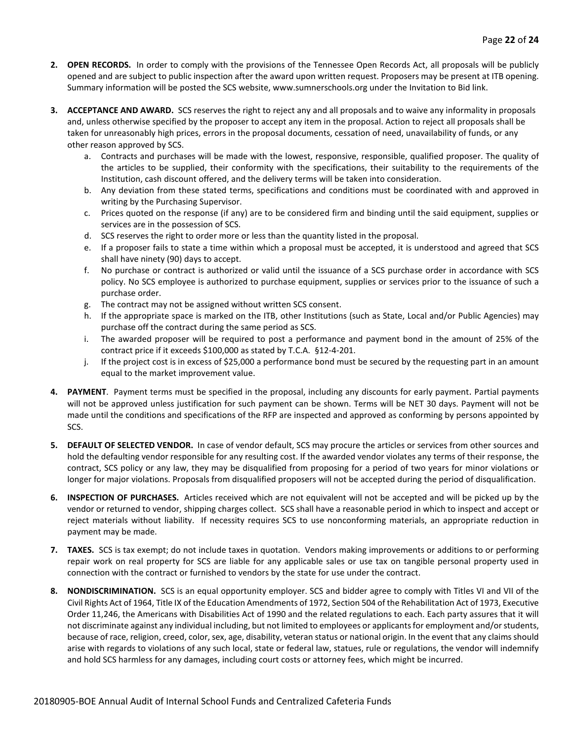- **2. OPEN RECORDS.** In order to comply with the provisions of the Tennessee Open Records Act, all proposals will be publicly opened and are subject to public inspection after the award upon written request. Proposers may be present at ITB opening. Summary information will be posted the SCS website, www.sumnerschools.org under the Invitation to Bid link.
- **3. ACCEPTANCE AND AWARD.** SCS reserves the right to reject any and all proposals and to waive any informality in proposals and, unless otherwise specified by the proposer to accept any item in the proposal. Action to reject all proposals shall be taken for unreasonably high prices, errors in the proposal documents, cessation of need, unavailability of funds, or any other reason approved by SCS.
	- a. Contracts and purchases will be made with the lowest, responsive, responsible, qualified proposer. The quality of the articles to be supplied, their conformity with the specifications, their suitability to the requirements of the Institution, cash discount offered, and the delivery terms will be taken into consideration.
	- b. Any deviation from these stated terms, specifications and conditions must be coordinated with and approved in writing by the Purchasing Supervisor.
	- c. Prices quoted on the response (if any) are to be considered firm and binding until the said equipment, supplies or services are in the possession of SCS.
	- d. SCS reserves the right to order more or less than the quantity listed in the proposal.
	- e. If a proposer fails to state a time within which a proposal must be accepted, it is understood and agreed that SCS shall have ninety (90) days to accept.
	- f. No purchase or contract is authorized or valid until the issuance of a SCS purchase order in accordance with SCS policy. No SCS employee is authorized to purchase equipment, supplies or services prior to the issuance of such a purchase order.
	- g. The contract may not be assigned without written SCS consent.
	- h. If the appropriate space is marked on the ITB, other Institutions (such as State, Local and/or Public Agencies) may purchase off the contract during the same period as SCS.
	- i. The awarded proposer will be required to post a performance and payment bond in the amount of 25% of the contract price if it exceeds \$100,000 as stated by T.C.A. §12-4-201.
	- j. If the project cost is in excess of \$25,000 a performance bond must be secured by the requesting part in an amount equal to the market improvement value.
- **4. PAYMENT**. Payment terms must be specified in the proposal, including any discounts for early payment. Partial payments will not be approved unless justification for such payment can be shown. Terms will be NET 30 days. Payment will not be made until the conditions and specifications of the RFP are inspected and approved as conforming by persons appointed by SCS.
- **5. DEFAULT OF SELECTED VENDOR.** In case of vendor default, SCS may procure the articles or services from other sources and hold the defaulting vendor responsible for any resulting cost. If the awarded vendor violates any terms of their response, the contract, SCS policy or any law, they may be disqualified from proposing for a period of two years for minor violations or longer for major violations. Proposals from disqualified proposers will not be accepted during the period of disqualification.
- **6. INSPECTION OF PURCHASES.** Articles received which are not equivalent will not be accepted and will be picked up by the vendor or returned to vendor, shipping charges collect. SCS shall have a reasonable period in which to inspect and accept or reject materials without liability. If necessity requires SCS to use nonconforming materials, an appropriate reduction in payment may be made.
- **7. TAXES.** SCS is tax exempt; do not include taxes in quotation. Vendors making improvements or additions to or performing repair work on real property for SCS are liable for any applicable sales or use tax on tangible personal property used in connection with the contract or furnished to vendors by the state for use under the contract.
- **8. NONDISCRIMINATION.** SCS is an equal opportunity employer. SCS and bidder agree to comply with Titles VI and VII of the Civil Rights Act of 1964, Title IX of the Education Amendments of 1972, Section 504 of the Rehabilitation Act of 1973, Executive Order 11,246, the Americans with Disabilities Act of 1990 and the related regulations to each. Each party assures that it will not discriminate against any individual including, but not limited to employees or applicants for employment and/or students, because of race, religion, creed, color, sex, age, disability, veteran status or national origin. In the event that any claims should arise with regards to violations of any such local, state or federal law, statues, rule or regulations, the vendor will indemnify and hold SCS harmless for any damages, including court costs or attorney fees, which might be incurred.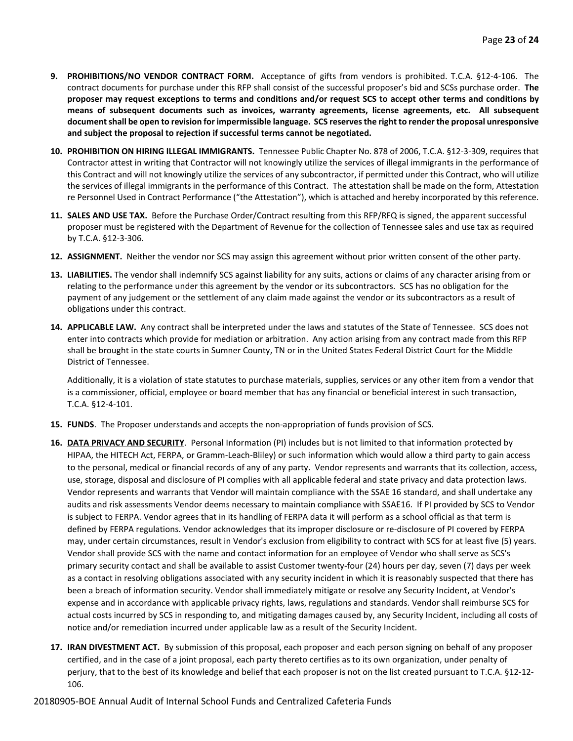- **9. PROHIBITIONS/NO VENDOR CONTRACT FORM.** Acceptance of gifts from vendors is prohibited. T.C.A. §12-4-106. The contract documents for purchase under this RFP shall consist of the successful proposer's bid and SCSs purchase order. **The proposer may request exceptions to terms and conditions and/or request SCS to accept other terms and conditions by means of subsequent documents such as invoices, warranty agreements, license agreements, etc. All subsequent document shall be open to revision for impermissible language. SCS reserves the right to render the proposal unresponsive and subject the proposal to rejection if successful terms cannot be negotiated.**
- **10. PROHIBITION ON HIRING ILLEGAL IMMIGRANTS.** Tennessee Public Chapter No. 878 of 2006, T.C.A. §12-3-309, requires that Contractor attest in writing that Contractor will not knowingly utilize the services of illegal immigrants in the performance of this Contract and will not knowingly utilize the services of any subcontractor, if permitted under this Contract, who will utilize the services of illegal immigrants in the performance of this Contract. The attestation shall be made on the form, Attestation re Personnel Used in Contract Performance ("the Attestation"), which is attached and hereby incorporated by this reference.
- **11. SALES AND USE TAX.** Before the Purchase Order/Contract resulting from this RFP/RFQ is signed, the apparent successful proposer must be registered with the Department of Revenue for the collection of Tennessee sales and use tax as required by T.C.A. §12-3-306.
- **12. ASSIGNMENT.** Neither the vendor nor SCS may assign this agreement without prior written consent of the other party.
- **13. LIABILITIES.** The vendor shall indemnify SCS against liability for any suits, actions or claims of any character arising from or relating to the performance under this agreement by the vendor or its subcontractors. SCS has no obligation for the payment of any judgement or the settlement of any claim made against the vendor or its subcontractors as a result of obligations under this contract.
- **14. APPLICABLE LAW.** Any contract shall be interpreted under the laws and statutes of the State of Tennessee. SCS does not enter into contracts which provide for mediation or arbitration. Any action arising from any contract made from this RFP shall be brought in the state courts in Sumner County, TN or in the United States Federal District Court for the Middle District of Tennessee.

Additionally, it is a violation of state statutes to purchase materials, supplies, services or any other item from a vendor that is a commissioner, official, employee or board member that has any financial or beneficial interest in such transaction, T.C.A. §12-4-101.

- **15. FUNDS**. The Proposer understands and accepts the non-appropriation of funds provision of SCS.
- **16. DATA PRIVACY AND SECURITY**. Personal Information (PI) includes but is not limited to that information protected by HIPAA, the HITECH Act, FERPA, or Gramm-Leach-Bliley) or such information which would allow a third party to gain access to the personal, medical or financial records of any of any party. Vendor represents and warrants that its collection, access, use, storage, disposal and disclosure of PI complies with all applicable federal and state privacy and data protection laws. Vendor represents and warrants that Vendor will maintain compliance with the SSAE 16 standard, and shall undertake any audits and risk assessments Vendor deems necessary to maintain compliance with SSAE16. If PI provided by SCS to Vendor is subject to FERPA. Vendor agrees that in its handling of FERPA data it will perform as a school official as that term is defined by FERPA regulations. Vendor acknowledges that its improper disclosure or re-disclosure of PI covered by FERPA may, under certain circumstances, result in Vendor's exclusion from eligibility to contract with SCS for at least five (5) years. Vendor shall provide SCS with the name and contact information for an employee of Vendor who shall serve as SCS's primary security contact and shall be available to assist Customer twenty-four (24) hours per day, seven (7) days per week as a contact in resolving obligations associated with any security incident in which it is reasonably suspected that there has been a breach of information security. Vendor shall immediately mitigate or resolve any Security Incident, at Vendor's expense and in accordance with applicable privacy rights, laws, regulations and standards. Vendor shall reimburse SCS for actual costs incurred by SCS in responding to, and mitigating damages caused by, any Security Incident, including all costs of notice and/or remediation incurred under applicable law as a result of the Security Incident.
- **17. IRAN DIVESTMENT ACT.** By submission of this proposal, each proposer and each person signing on behalf of any proposer certified, and in the case of a joint proposal, each party thereto certifies as to its own organization, under penalty of perjury, that to the best of its knowledge and belief that each proposer is not on the list created pursuant to T.C.A. §12-12- 106.